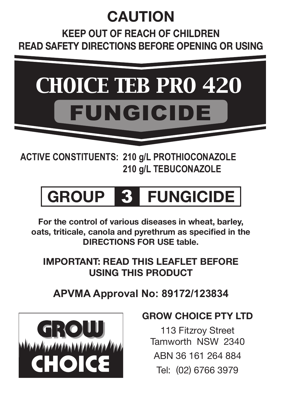# **CAUTION**

**Keep out of reach of children Read safety directions before opening or using**



**ACTIVE CONSTITUENTS: 210 g/L PROTHIOCONAZOLE 210 g/L TEBUCONAZOLE**

# **GROUP** 3 **FUNGICIDE**

**For the control of various diseases in wheat, barley, oats, triticale, canola and pyrethrum as specified in the DIRECTIONS FOR USE table.** 

**IMPORTANT: READ THIS LEAFLET BEFORE USING THIS PRODUCT**

**APVMA Approval No: 89172/123834**



# **GROW CHOICE PTY LTD**

113 Fitzroy Street Tamworth NSW 2340 ABN 36 161 264 884 Tel: (02) 6766 3979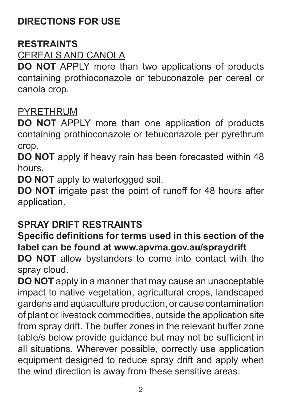## **DIRECTIONS FOR USE**

#### **RESTRAINTS**

#### CEREALS AND CANOLA

**DO NOT** APPLY more than two applications of products containing prothioconazole or tebuconazole per cereal or canola crop.

#### PYRETHRUM

**DO NOT** APPLY more than one application of products containing prothioconazole or tebuconazole per pyrethrum crop.

**DO NOT** apply if heavy rain has been forecasted within 48 hours.

**DO NOT** apply to waterlogged soil.

**DO NOT** irrigate past the point of runoff for 48 hours after application.

#### **SPRAY DRIFT RESTRAINTS**

#### **Specific definitions for terms used in this section of the label can be found at www.apvma.gov.au/spraydrift**

**DO NOT** allow bystanders to come into contact with the spray cloud.

**DO NOT** apply in a manner that may cause an unacceptable impact to native vegetation, agricultural crops, landscaped gardens and aquaculture production, or cause contamination of plant or livestock commodities, outside the application site from spray drift. The buffer zones in the relevant buffer zone table/s below provide guidance but may not be sufficient in all situations. Wherever possible, correctly use application equipment designed to reduce spray drift and apply when the wind direction is away from these sensitive areas.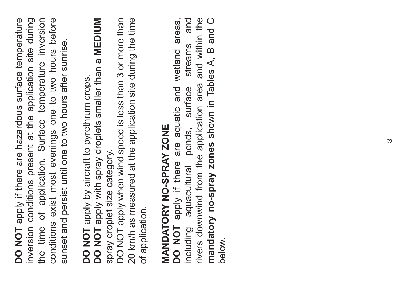**DO NOT** apply if there are hazardous surface temperature inversion conditions present at the application site during the time of application. Surface temperature inversion conditions exist most evenings one to two hours before DO NOT apply if there are hazardous surface temperature inversion conditions present at the application site during the time of application. Surface temperature inversion conditions exist most evenings one to two hours before sunset and persist until one to two hours after sunrise. sunset and persist until one to two hours after sunrise.

DO NOT apply by aircraft to pyrethrum crops. **DO NOT** apply by aircraft to pyrethrum crops.

DO NOT apply with spray droplets smaller than a MEDIUM **DO NOT** apply with spray droplets smaller than a **MEDIUM** spray droplet size category. spray droplet size category.

DO NOT apply when wind speed is less than 3 or more than 20 km/h as measured at the application site during the time DO NOT apply when wind speed is less than 3 or more than 20 km/h as measured at the application site during the time of application. of application.

# MANDATORY NO-SPRAY ZONE **MANDATORY NO-SPRAY ZONE**

**DO NOT** apply if there are aquatic and wetland areas, including aquacultural ponds, surface streams and rivers downwind from the application area and within the **mandatory no-spray zones** shown in Tables A, B and C areas, streams and rivers downwind from the application area and within the mandatory no-spray zones shown in Tables A, B and C DO NOT apply if there are aquatic and wetland including aquacultural ponds, surface below.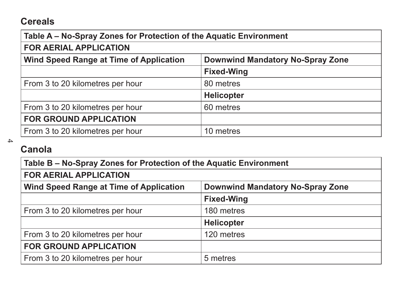#### **Cereals**

#### **Table A – No-Spray Zones for Protection of the Aquatic Environment**

#### **FOR AERIAL APPLICATION**

| Wind Speed Range at Time of Application | Downwind Mandatory No-Spray Zone |
|-----------------------------------------|----------------------------------|
|                                         |                                  |

|                                  | <b>Fixed-Wing</b> |
|----------------------------------|-------------------|
| From 3 to 20 kilometres per hour | 80 metres         |
|                                  | Helicopter        |
| From 3 to 20 kilometres per hour | 60 metres         |
| <b>FOR GROUND APPLICATION</b>    |                   |
| From 3 to 20 kilometres per hour | 10 metres         |

 $\rightarrow$ 

# **Canola**

| Table B – No-Spray Zones for Protection of the Aquatic Environment |                                  |
|--------------------------------------------------------------------|----------------------------------|
| <b>FOR AERIAL APPLICATION</b>                                      |                                  |
| Wind Speed Range at Time of Application                            | Downwind Mandatory No-Spray Zone |
|                                                                    | <b>Fixed-Wing</b>                |
| From 3 to 20 kilometres per hour                                   | 180 metres                       |
|                                                                    | Helicopter                       |
| From 3 to 20 kilometres per hour                                   | 120 metres                       |
| <b>FOR GROUND APPLICATION</b>                                      |                                  |
| From 3 to 20 kilometres per hour                                   | 5 metres                         |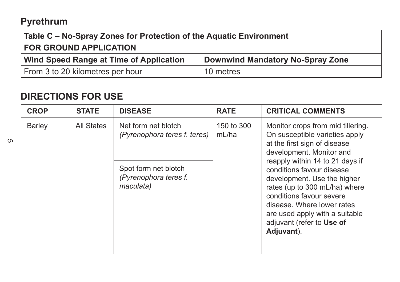## **Pyrethrum**

5

| Table C - No-Spray Zones for Protection of the Aquatic Environment |                                  |
|--------------------------------------------------------------------|----------------------------------|
| <b>FOR GROUND APPLICATION</b>                                      |                                  |
| Wind Speed Range at Time of Application                            | Downwind Mandatory No-Spray Zone |
| From 3 to 20 kilometres per hour                                   | 10 metres                        |
|                                                                    |                                  |

## **DIRECTIONS FOR USE**

| <b>CROP</b> | <b>STATE</b> | <b>DISEASE</b>                                                                                                    | <b>RATE</b>         | <b>CRITICAL COMMENTS</b>                                                                                                                                                                                                                                                                                                                                                                               |
|-------------|--------------|-------------------------------------------------------------------------------------------------------------------|---------------------|--------------------------------------------------------------------------------------------------------------------------------------------------------------------------------------------------------------------------------------------------------------------------------------------------------------------------------------------------------------------------------------------------------|
| Barley      | All States   | Net form net blotch<br>(Pyrenophora teres f. teres)<br>Spot form net blotch<br>(Pyrenophora teres f.<br>maculata) | 150 to 300<br>mL/ha | Monitor crops from mid tillering.<br>On susceptible varieties apply<br>at the first sign of disease<br>development. Monitor and<br>reapply within 14 to 21 days if<br>conditions favour disease<br>development. Use the higher<br>rates (up to 300 mL/ha) where<br>conditions favour severe<br>disease. Where lower rates<br>are used apply with a suitable<br>adjuvant (refer to Use of<br>Adjuvant). |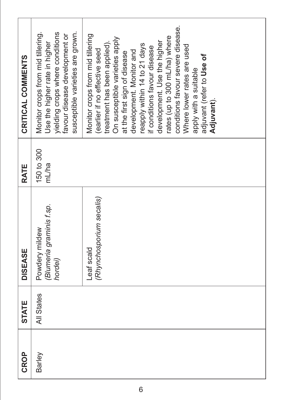| CRITICAL COMMENTS | susceptible varieties are grown.<br>Monitor crops from mid tillering.<br>yielding crops where conditions<br>favour disease development or<br>Use the higher rate in higher | conditions favour severe disease.<br>Monitor crops from mid tillering<br>rates (up to 300 mL/ha) where<br>On susceptible varieties apply<br>development. Use the higher<br>reapply within 14 to 21 days<br>treatment has been applied)<br>Where lower rates are used<br>if conditions favour disease<br>earlier if no effective seed<br>development. Monitor and<br>at the first sign of disease<br>adjuvant (refer to Use of<br>apply with a suitable<br>Adjuvant). |
|-------------------|----------------------------------------------------------------------------------------------------------------------------------------------------------------------------|----------------------------------------------------------------------------------------------------------------------------------------------------------------------------------------------------------------------------------------------------------------------------------------------------------------------------------------------------------------------------------------------------------------------------------------------------------------------|
| RATE              | 150 to 300<br>mL/ha                                                                                                                                                        |                                                                                                                                                                                                                                                                                                                                                                                                                                                                      |
| <b>DISEASE</b>    | (Blumeria graminis f.sp.<br>Powdery mildew<br>hordei)                                                                                                                      | (Rhynchosporium secalis)<br>Leaf scald                                                                                                                                                                                                                                                                                                                                                                                                                               |
| <b>STATE</b>      | All States                                                                                                                                                                 |                                                                                                                                                                                                                                                                                                                                                                                                                                                                      |
| CROP              | Barley                                                                                                                                                                     |                                                                                                                                                                                                                                                                                                                                                                                                                                                                      |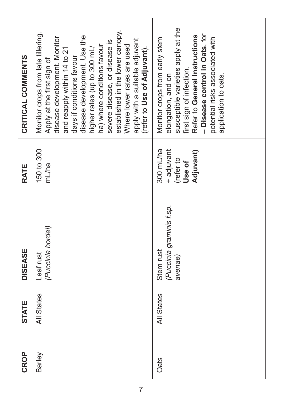| CRITICAL COMMENTS | established in the lower canopy.<br>Monitor crops from late tillering.<br>disease development. Use the<br>disease development. Monitor<br>apply with a suitable adjuvant<br>severe disease, or disease is<br>ha) where conditions favour<br>Where lower rates are used<br>higher rates (up to 300 mL/<br>(refer to Use of Adjuvant).<br>and reapply within 14 to 21<br>days if conditions favour<br>Apply at the first sign of | susceptible varieties apply at the<br>- Disease control in Oats, for<br>Refer to General Instructions<br>potential risks associated with<br>Monitor crops from early stem<br>first sign of infection.<br>elongation, and on<br>application to oats. |
|-------------------|--------------------------------------------------------------------------------------------------------------------------------------------------------------------------------------------------------------------------------------------------------------------------------------------------------------------------------------------------------------------------------------------------------------------------------|-----------------------------------------------------------------------------------------------------------------------------------------------------------------------------------------------------------------------------------------------------|
| RATE              | 150 to 300<br>m<br>L/ha                                                                                                                                                                                                                                                                                                                                                                                                        | 300 mL/ha<br>+ adjuvant<br>Adjuvant)<br>(refer to<br>Use of                                                                                                                                                                                         |
| <b>DISEASE</b>    | (Puccinia hordei)<br>Leaf rust                                                                                                                                                                                                                                                                                                                                                                                                 | (Puccinia graminis f.sp.<br>Stem rust<br>avenae)                                                                                                                                                                                                    |
| <b>STATE</b>      | All States                                                                                                                                                                                                                                                                                                                                                                                                                     | All States                                                                                                                                                                                                                                          |
| CROP              | Barley                                                                                                                                                                                                                                                                                                                                                                                                                         | Oats                                                                                                                                                                                                                                                |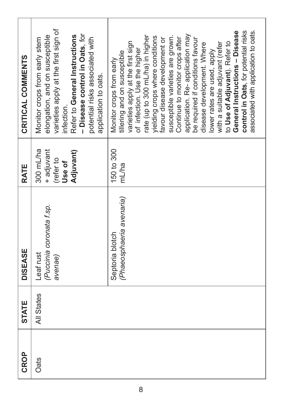| CRITICAL COMMENTS | varieties apply at the first sign of<br>- Disease control in Oats, for<br>Refer to General Instructions<br>elongation, and on susceptible<br>potential risks associated with<br>Monitor crops from early stem<br>application to oats.<br>infection. | control in Oats, for potential risks<br>General Instructions - Disease<br>associated with application to oats.<br>application. Re-application may<br>rate (up to 300 mL/ha) in higher<br>susceptible varieties are grown.<br>yielding crops where conditions<br>Continue to monitor crops after<br>favour disease development or<br>be required if conditions favour<br>varieties apply at the first sign<br>to Use of Adjuvant). Refer to<br>with a suitable adjuvant (refer<br>disease development. Where<br>of infection. Use the higher<br>lower rates are used, apply<br>tillering and on susceptible<br>Monitor crops from early |
|-------------------|-----------------------------------------------------------------------------------------------------------------------------------------------------------------------------------------------------------------------------------------------------|----------------------------------------------------------------------------------------------------------------------------------------------------------------------------------------------------------------------------------------------------------------------------------------------------------------------------------------------------------------------------------------------------------------------------------------------------------------------------------------------------------------------------------------------------------------------------------------------------------------------------------------|
| RATE              | 300 mL/ha<br>Adjuvant)<br>+ adjuvant<br>(refer to<br>Use of                                                                                                                                                                                         | 150 to 300<br>mL/ha                                                                                                                                                                                                                                                                                                                                                                                                                                                                                                                                                                                                                    |
| <b>DISEASE</b>    | (Puccinia coronata f.sp.<br>Leaf rust<br>avenae)                                                                                                                                                                                                    | (Phaeosphaeria avenaria)<br>Septoria blotch                                                                                                                                                                                                                                                                                                                                                                                                                                                                                                                                                                                            |
| <b>STATE</b>      | All States                                                                                                                                                                                                                                          |                                                                                                                                                                                                                                                                                                                                                                                                                                                                                                                                                                                                                                        |
| <b>CROP</b>       | Oats                                                                                                                                                                                                                                                |                                                                                                                                                                                                                                                                                                                                                                                                                                                                                                                                                                                                                                        |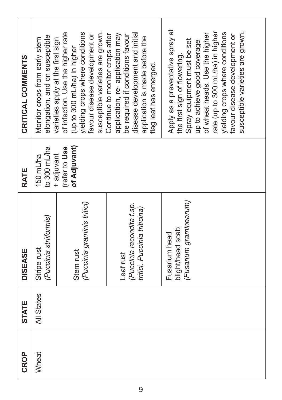| CROP  | <b>STATE</b> | <b>DISEASE</b>                                                         | RATE                                    | CRITICAL COMMENTS                                                                                                                                                                                                                                                                                            |
|-------|--------------|------------------------------------------------------------------------|-----------------------------------------|--------------------------------------------------------------------------------------------------------------------------------------------------------------------------------------------------------------------------------------------------------------------------------------------------------------|
| Wheat | All States   | (Puccinia striiformis)<br>Stripe rust                                  | to 300 mL/ha<br>150 mL/ha<br>+ adjuvant | elongation, and on susceptible<br>Monitor crops from early stem                                                                                                                                                                                                                                              |
|       |              | (Puccinia graminis tritici)<br>Stem rust                               | of Adjuvant)<br>(refer to Use           | susceptible varieties are grown.<br>of infection. Use the higher rate<br>yielding crops where conditions<br>favour disease development or<br>varieties apply at the first sign<br>(up to 300 mL/ha) in higher                                                                                                |
|       |              | (Puccinia recondita f.sp.<br>tritici, Puccinia triticina)<br>Leaf rust |                                         | disease development and initial<br>Continue to monitor crops after<br>application, re-application may<br>be required if conditions favour<br>application is made before the<br>flag leaf has emerged.                                                                                                        |
|       |              | (Fusarium graminearum)<br>blight/head scab<br>Fusarium head            |                                         | Apply as a preventative spray at<br>rate (up to 300 mL/ha) in higher<br>susceptible varieties are grown.<br>yielding crops where conditions<br>of wheat heads. Use the higher<br>favour disease development or<br>Spray equipment must be set<br>up to achieve good coverage<br>the first sign of flowering. |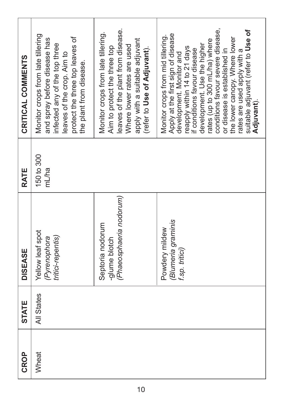| CRITICAL COMMENTS | Monitor crops from late tillering<br>protect the three top leaves of<br>and spray before disease has<br>infected any of the top three<br>leaves of the crop. Aim to<br>the plant from disease. | leaves of the plant from disease.<br>Monitor crops from late tillering.<br>apply with a suitable adjuvant<br>Where lower rates are used<br>Aim to protect the three top<br>(refer to Use of Adjuvant). | conditions favour severe disease,<br>suitable adjuvant (refer to Use of<br>Apply at the first sign of disease<br>Monitor crops from mid tillering.<br>the lower canopy. Where lower<br>rates (up to 300 mL/ha) where<br>development. Use the higher<br>reapply within 14 to 21 days<br>f conditions favour disease<br>rates are used apply with a<br>or disease is established in<br>development. Monitor and<br>Adjuvant). |
|-------------------|------------------------------------------------------------------------------------------------------------------------------------------------------------------------------------------------|--------------------------------------------------------------------------------------------------------------------------------------------------------------------------------------------------------|-----------------------------------------------------------------------------------------------------------------------------------------------------------------------------------------------------------------------------------------------------------------------------------------------------------------------------------------------------------------------------------------------------------------------------|
| RATE              | 150 to 300<br>m<br>Ma                                                                                                                                                                          |                                                                                                                                                                                                        |                                                                                                                                                                                                                                                                                                                                                                                                                             |
| <b>DISEASE</b>    | Yellow leaf spot<br>tritici-repentis)<br>(Pyrenophora                                                                                                                                          | (Phaeosphaeria nodorum)<br>Septoria nodorum<br>-glume blotch                                                                                                                                           | (Blumeria graminis<br>Powdery mildew<br>f.sp. tritici)                                                                                                                                                                                                                                                                                                                                                                      |
| <b>STATE</b>      | All States                                                                                                                                                                                     |                                                                                                                                                                                                        |                                                                                                                                                                                                                                                                                                                                                                                                                             |
| <b>CROP</b>       | Wheat                                                                                                                                                                                          |                                                                                                                                                                                                        |                                                                                                                                                                                                                                                                                                                                                                                                                             |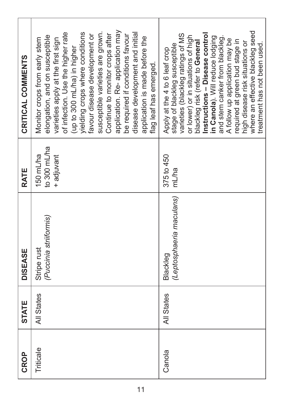| CRITICAL COMMENTS | application. Re-application may<br>of infection. Use the higher rate<br>yielding crops where conditions<br>susceptible varieties are grown.<br>disease development and initial<br>Continue to monitor crops after<br>be required if conditions favour<br>favour disease development or<br>elongation, and on susceptible<br>application is made before the<br>Monitor crops from early stem<br>varieties apply at the first sign<br>(up to 300 mL/ha) in higher<br>flag leaf has emerged. | where an effective blackleg seed<br>varieties (blackleg ratings of MS<br>Instructions - Disease control<br>or lower) or in situations of high<br>in Canola). Will reduce lodging<br>and stem canker from blackleg.<br>A follow up application may be<br>required at green bud stage in<br>blackleg risk (refer to General<br>high disease risk situations or<br>stage of blackleg susceptible<br>treatment has not been used.<br>Apply at the 4 to 6 leaf crop |
|-------------------|-------------------------------------------------------------------------------------------------------------------------------------------------------------------------------------------------------------------------------------------------------------------------------------------------------------------------------------------------------------------------------------------------------------------------------------------------------------------------------------------|----------------------------------------------------------------------------------------------------------------------------------------------------------------------------------------------------------------------------------------------------------------------------------------------------------------------------------------------------------------------------------------------------------------------------------------------------------------|
| RATE              | to 300 mL/ha<br>150 mL/ha<br>+ adjuvant                                                                                                                                                                                                                                                                                                                                                                                                                                                   | 375 to 450<br>mL/ha                                                                                                                                                                                                                                                                                                                                                                                                                                            |
| <b>DISEASE</b>    | (Puccinia striiformis)<br>Stripe rust                                                                                                                                                                                                                                                                                                                                                                                                                                                     | (Leptosphaeria maculans)<br>Blackleg                                                                                                                                                                                                                                                                                                                                                                                                                           |
| <b>STATE</b>      | All States                                                                                                                                                                                                                                                                                                                                                                                                                                                                                | All States                                                                                                                                                                                                                                                                                                                                                                                                                                                     |
| CROP              | Triticale                                                                                                                                                                                                                                                                                                                                                                                                                                                                                 | Canola                                                                                                                                                                                                                                                                                                                                                                                                                                                         |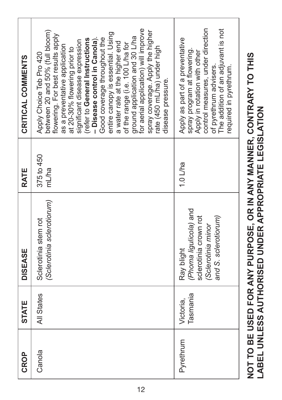| CROP      | <b>STATE</b>          | <b>DISEASE</b>                                                                                                              | RATE                | CRITICAL COMMENTS                                                                                                                                                                                                                                                                                                                                                                                                                                                                                                                                                                  |  |
|-----------|-----------------------|-----------------------------------------------------------------------------------------------------------------------------|---------------------|------------------------------------------------------------------------------------------------------------------------------------------------------------------------------------------------------------------------------------------------------------------------------------------------------------------------------------------------------------------------------------------------------------------------------------------------------------------------------------------------------------------------------------------------------------------------------------|--|
| Canola    | All States            | (Sclerotinia sclerotiorum)<br>Sclerotinia stem rot                                                                          | 375 to 450<br>mL/ha | for aerial application) will improve<br>between 20 and 50% (full bloom)<br>spray coverage. Apply the higher<br>entire canopy is essential. Using<br>flowering. For best results apply<br>ground application and 30 L/ha<br>- Disease control in Canola).<br>Good coverage throughout the<br>(refer to General Instructions<br>significant disease expression<br>a water rate at the higher end<br>of the range (i.e. 100 L/ha for<br>as a preventative application<br>rate (450 mL/ha) under high<br>at 20-30% flowering prior to<br>Apply Choice Teb Pro 420<br>disease pressure. |  |
| Pyrethrum | Tasmania<br>Victoria, | (Phoma ligulicola) and<br>and S. sclerotiorum)<br>sclerotinia crown rot<br>(Sclerotinia minor<br>Ray blight                 | 1.0 $L$ ha          | control measures, under direction<br>The addition of an adjuvant is not<br>Apply as part of a preventative<br>spray program at flowering.<br>Apply in rotation with other<br>of pyrethrum advisers.<br>required in pyrethrum.                                                                                                                                                                                                                                                                                                                                                      |  |
|           |                       | NOT TO BE USED FOR ANY PURPOSE, OR IN ANY MANNER, CONTRARY TO THIS<br>LABEL UNLESS AUTHORISED UNDER APPROPRIATE LEGISLATION |                     |                                                                                                                                                                                                                                                                                                                                                                                                                                                                                                                                                                                    |  |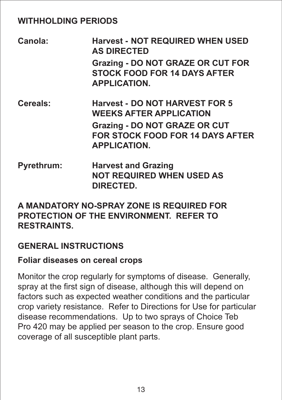#### **WITHHOLDING PERIODS**

- **Canola: Harvest - NOT REQUIRED WHEN USED AS DIRECTED Grazing - DO NOT GRAZE OR CUT FOR STOCK FOOD FOR 14 DAYS AFTER APPLICATION.**
- **Cereals: Harvest - DO NOT HARVEST FOR 5 WEEKS AFTER APPLICATION Grazing - DO NOT GRAZE OR CUT FOR STOCK FOOD FOR 14 DAYS AFTER APPLICATION.**
- **Pyrethrum: Harvest and Grazing NOT REQUIRED WHEN USED AS DIRECTED.**

#### **A MANDATORY NO-SPRAY ZONE IS REQUIRED FOR PROTECTION OF THE ENVIRONMENT. REFER TO RESTRAINTS.**

#### **GENERAL INSTRUCTIONS**

#### **Foliar diseases on cereal crops**

Monitor the crop regularly for symptoms of disease. Generally, spray at the first sign of disease, although this will depend on factors such as expected weather conditions and the particular crop variety resistance. Refer to Directions for Use for particular disease recommendations. Up to two sprays of Choice Teb Pro 420 may be applied per season to the crop. Ensure good coverage of all susceptible plant parts.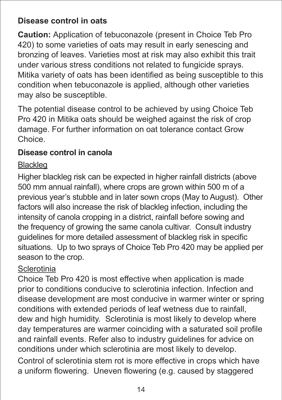#### **Disease control in oats**

**Caution:** Application of tebuconazole (present in Choice Teb Pro 420) to some varieties of oats may result in early senescing and bronzing of leaves. Varieties most at risk may also exhibit this trait under various stress conditions not related to fungicide sprays. Mitika variety of oats has been identified as being susceptible to this condition when tebuconazole is applied, although other varieties may also be susceptible.

The potential disease control to be achieved by using Choice Teb Pro 420 in Mitika oats should be weighed against the risk of crop damage. For further information on oat tolerance contact Grow Choice.

#### **Disease control in canola**

#### Blackleg

Higher blackleg risk can be expected in higher rainfall districts (above 500 mm annual rainfall), where crops are grown within 500 m of a previous year's stubble and in later sown crops (May to August). Other factors will also increase the risk of blackleg infection, including the intensity of canola cropping in a district, rainfall before sowing and the frequency of growing the same canola cultivar. Consult industry guidelines for more detailed assessment of blackleg risk in specific situations. Up to two sprays of Choice Teb Pro 420 may be applied per season to the crop.

#### **Sclerotinia**

Choice Teb Pro 420 is most effective when application is made prior to conditions conducive to sclerotinia infection. Infection and disease development are most conducive in warmer winter or spring conditions with extended periods of leaf wetness due to rainfall, dew and high humidity. Sclerotinia is most likely to develop where day temperatures are warmer coinciding with a saturated soil profile and rainfall events. Refer also to industry guidelines for advice on conditions under which sclerotinia are most likely to develop. Control of sclerotinia stem rot is more effective in crops which have a uniform flowering. Uneven flowering (e.g. caused by staggered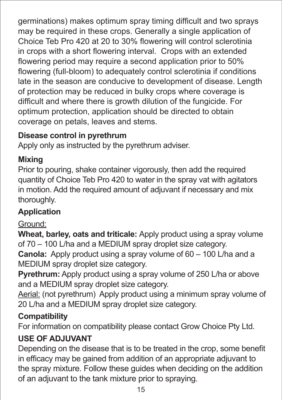germinations) makes optimum spray timing difficult and two sprays may be required in these crops. Generally a single application of Choice Teb Pro 420 at 20 to 30% flowering will control sclerotinia in crops with a short flowering interval. Crops with an extended flowering period may require a second application prior to 50% flowering (full-bloom) to adequately control sclerotinia if conditions late in the season are conducive to development of disease. Length of protection may be reduced in bulky crops where coverage is difficult and where there is growth dilution of the fungicide. For optimum protection, application should be directed to obtain coverage on petals, leaves and stems.

#### **Disease control in pyrethrum**

Apply only as instructed by the pyrethrum adviser.

#### **Mixing**

Prior to pouring, shake container vigorously, then add the required quantity of Choice Teb Pro 420 to water in the spray vat with agitators in motion. Add the required amount of adjuvant if necessary and mix thoroughly.

#### **Application**

#### Ground:

**Wheat, barley, oats and triticale:** Apply product using a spray volume of 70 – 100 L/ha and a MEDIUM spray droplet size category.

**Canola:** Apply product using a spray volume of 60 – 100 L/ha and a MEDIUM spray droplet size category.

**Pyrethrum:** Apply product using a spray volume of 250 L/ha or above and a MEDIUM spray droplet size category.

Aerial: (not pyrethrum) Apply product using a minimum spray volume of 20 L/ha and a MEDIUM spray droplet size category.

#### **Compatibility**

For information on compatibility please contact Grow Choice Pty Ltd.

#### **USE OF ADJUVANT**

Depending on the disease that is to be treated in the crop, some benefit in efficacy may be gained from addition of an appropriate adjuvant to the spray mixture. Follow these guides when deciding on the addition of an adjuvant to the tank mixture prior to spraying.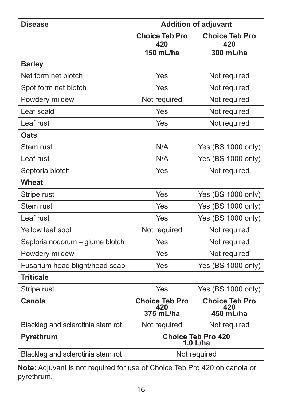| <b>Disease</b>                    | <b>Addition of adjuvant</b>               |                                           |
|-----------------------------------|-------------------------------------------|-------------------------------------------|
|                                   | <b>Choice Teb Pro</b><br>420              | <b>Choice Teb Pro</b><br>420              |
|                                   | 150 mL/ha                                 | 300 mL/ha                                 |
| <b>Barley</b>                     |                                           |                                           |
| Net form net blotch               | Yes                                       | Not required                              |
| Spot form net blotch              | Yes                                       | Not required                              |
| Powdery mildew                    | Not required                              | Not required                              |
| Leaf scald                        | Yes                                       | Not required                              |
| Leaf rust                         | Yes                                       | Not required                              |
| Oats                              |                                           |                                           |
| Stem rust                         | N/A                                       | Yes (BS 1000 only)                        |
| Leaf rust                         | N/A                                       | Yes (BS 1000 only)                        |
| Septoria blotch                   | Yes                                       | Not required                              |
| Wheat                             |                                           |                                           |
| Stripe rust                       | Yes                                       | Yes (BS 1000 only)                        |
| Stem rust                         | Yes                                       | Yes (BS 1000 only)                        |
| Leaf rust                         | Yes                                       | Yes (BS 1000 only)                        |
| Yellow leaf spot                  | Not required                              | Not required                              |
| Septoria nodorum - glume blotch   | Yes                                       | Not required                              |
| Powdery mildew                    | Yes                                       | Not required                              |
| Fusarium head blight/head scab    | Yes                                       | Yes (BS 1000 only)                        |
| <b>Triticale</b>                  |                                           |                                           |
| Stripe rust                       | Yes                                       | Yes (BS 1000 only)                        |
| Canola                            | <b>Choice Teb Pro</b><br>420<br>375 mL/ha | <b>Choice Teb Pro</b><br>420<br>450 mL/ha |
| Blackleg and sclerotinia stem rot | Not required                              | Not required                              |
| Pvrethrum                         | Choice Teb Pro 420<br>1.0 L/ha            |                                           |
| Blackleg and sclerotinia stem rot | Not required                              |                                           |

**Note:** Adjuvant is not required for use of Choice Teb Pro 420 on canola or pyrethrum.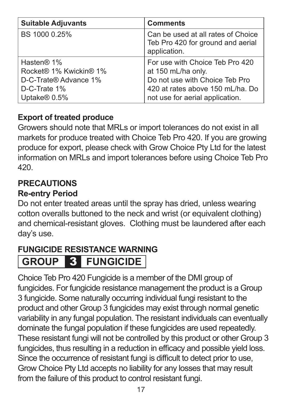| <b>Suitable Adjuvants</b>                                                     | <b>Comments</b>                                                                                                             |
|-------------------------------------------------------------------------------|-----------------------------------------------------------------------------------------------------------------------------|
| BS 1000 0.25%                                                                 | Can be used at all rates of Choice<br>Teb Pro 420 for ground and aerial<br>application.                                     |
| Hasten® 1%<br>Rocket® 1% Kwickin® 1%<br>D-C-Trate® Advance 1%<br>D-C-Trate 1% | For use with Choice Teb Pro 420<br>at 150 mL/ha only.<br>Do not use with Choice Teb Pro<br>420 at rates above 150 mL/ha. Do |
| Uptake <sup>®</sup> 0.5%                                                      | not use for aerial application.                                                                                             |

#### **Export of treated produce**

Growers should note that MRLs or import tolerances do not exist in all markets for produce treated with Choice Teb Pro 420. If you are growing produce for export, please check with Grow Choice Pty Ltd for the latest information on MRLs and import tolerances before using Choice Teb Pro 420.

#### **PRECAUTIONS**

#### **Re-entry Period**

Do not enter treated areas until the spray has dried, unless wearing cotton overalls buttoned to the neck and wrist (or equivalent clothing) and chemical-resistant gloves. Clothing must be laundered after each day's use.

# **FUNGICIDE RESISTANCE WARNING**

# **GROUP** 3 **FUNGICIDE**

Choice Teb Pro 420 Fungicide is a member of the DMI group of fungicides. For fungicide resistance management the product is a Group 3 fungicide. Some naturally occurring individual fungi resistant to the product and other Group 3 fungicides may exist through normal genetic variability in any fungal population. The resistant individuals can eventually dominate the fungal population if these fungicides are used repeatedly. These resistant fungi will not be controlled by this product or other Group 3 fungicides, thus resulting in a reduction in efficacy and possible yield loss. Since the occurrence of resistant fungi is difficult to detect prior to use, Grow Choice Pty Ltd accepts no liability for any losses that may result from the failure of this product to control resistant fungi.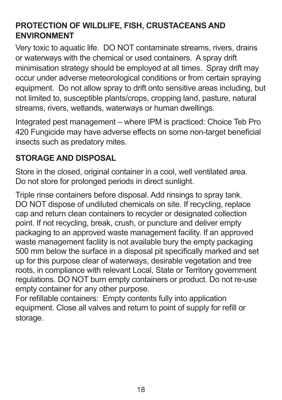#### **PROTECTION OF WILDLIFE, FISH, CRUSTACEANS AND ENVIRONMENT**

Very toxic to aquatic life. DO NOT contaminate streams, rivers, drains or waterways with the chemical or used containers. A spray drift minimisation strategy should be employed at all times. Spray drift may occur under adverse meteorological conditions or from certain spraying equipment. Do not allow spray to drift onto sensitive areas including, but not limited to, susceptible plants/crops, cropping land, pasture, natural streams, rivers, wetlands, waterways or human dwellings.

Integrated pest management – where IPM is practiced: Choice Teb Pro 420 Fungicide may have adverse effects on some non-target beneficial insects such as predatory mites.

#### **STORAGE AND DISPOSAL**

Store in the closed, original container in a cool, well ventilated area. Do not store for prolonged periods in direct sunlight.

Triple rinse containers before disposal. Add rinsings to spray tank. DO NOT dispose of undiluted chemicals on site. If recycling, replace cap and return clean containers to recycler or designated collection point. If not recycling, break, crush, or puncture and deliver empty packaging to an approved waste management facility. If an approved waste management facility is not available bury the empty packaging 500 mm below the surface in a disposal pit specifically marked and set up for this purpose clear of waterways, desirable vegetation and tree roots, in compliance with relevant Local, State or Territory government regulations. DO NOT burn empty containers or product. Do not re-use empty container for any other purpose.

For refillable containers: Empty contents fully into application equipment. Close all valves and return to point of supply for refill or storage.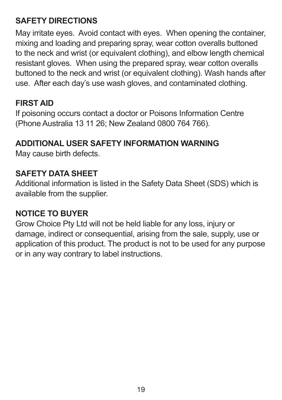#### **SAFETY DIRECTIONS**

May irritate eyes. Avoid contact with eyes. When opening the container, mixing and loading and preparing spray, wear cotton overalls buttoned to the neck and wrist (or equivalent clothing), and elbow length chemical resistant gloves. When using the prepared spray, wear cotton overalls buttoned to the neck and wrist (or equivalent clothing). Wash hands after use. After each day's use wash gloves, and contaminated clothing.

#### **FIRST AID**

If poisoning occurs contact a doctor or Poisons Information Centre (Phone Australia 13 11 26; New Zealand 0800 764 766).

#### **ADDITIONAL USER SAFETY INFORMATION WARNING**

May cause birth defects.

#### **SAFETY DATA SHEET**

Additional information is listed in the Safety Data Sheet (SDS) which is available from the supplier.

#### **NOTICE TO BUYER**

Grow Choice Pty Ltd will not be held liable for any loss, injury or damage, indirect or consequential, arising from the sale, supply, use or application of this product. The product is not to be used for any purpose or in any way contrary to label instructions.